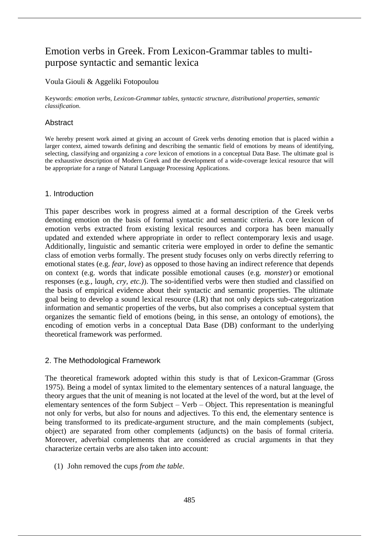# Emotion verbs in Greek. From Lexicon-Grammar tables to multipurpose syntactic and semantic lexica

# Voula Giouli & Aggeliki Fotopoulou

Keywords: *emotion verbs*, *Lexicon-Grammar tables*, *syntactic structure*, *distributional properties*, *semantic classification*.

## Abstract

We hereby present work aimed at giving an account of Greek verbs denoting emotion that is placed within a larger context, aimed towards defining and describing the semantic field of emotions by means of identifying, selecting, classifying and organizing a *core* lexicon of emotions in a conceptual Data Base. The ultimate goal is the exhaustive description of Modern Greek and the development of a wide-coverage lexical resource that will be appropriate for a range of Natural Language Processing Applications.

## 1. Introduction

This paper describes work in progress aimed at a formal description of the Greek verbs denoting emotion on the basis of formal syntactic and semantic criteria. A core lexicon of emotion verbs extracted from existing lexical resources and corpora has been manually updated and extended where appropriate in order to reflect contemporary lexis and usage. Additionally, linguistic and semantic criteria were employed in order to define the semantic class of emotion verbs formally. The present study focuses only on verbs directly referring to emotional states (e.g. *fear*, *love*) as opposed to those having an indirect reference that depends on context (e.g. words that indicate possible emotional causes (e.g. *monster*) or emotional responses (e.g., l*augh*, *cry, etc.)*). The so-identified verbs were then studied and classified on the basis of empirical evidence about their syntactic and semantic properties. The ultimate goal being to develop a sound lexical resource (LR) that not only depicts sub-categorization information and semantic properties of the verbs, but also comprises a conceptual system that organizes the semantic field of emotions (being, in this sense, an ontology of emotions), the encoding of emotion verbs in a conceptual Data Base (DB) conformant to the underlying theoretical framework was performed.

# 2. The Methodological Framework

The theoretical framework adopted within this study is that of Lexicon-Grammar (Gross 1975). Being a model of syntax limited to the elementary sentences of a natural language, the theory argues that the unit of meaning is not located at the level of the word, but at the level of elementary sentences of the form Subject – Verb – Object. This representation is meaningful not only for verbs, but also for nouns and adjectives. To this end, the elementary sentence is being transformed to its predicate-argument structure, and the main complements (subject, object) are separated from other complements (adjuncts) on the basis of formal criteria. Moreover, adverbial complements that are considered as crucial arguments in that they characterize certain verbs are also taken into account:

(1) John removed the cups *from the table*.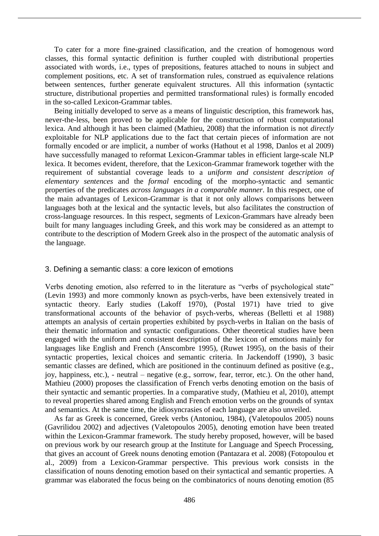To cater for a more fine-grained classification, and the creation of homogenous word classes, this formal syntactic definition is further coupled with distributional properties associated with words, i.e., types of prepositions, features attached to nouns in subject and complement positions, etc. A set of transformation rules, construed as equivalence relations between sentences, further generate equivalent structures*.* All this information (syntactic structure, distributional properties and permitted transformational rules) is formally encoded in the so-called Lexicon-Grammar tables.

Being initially developed to serve as a means of linguistic description, this framework has, never-the-less, been proved to be applicable for the construction of robust computational lexica. And although it has been claimed (Mathieu, 2008) that the information is not *directly* exploitable for NLP applications due to the fact that certain pieces of information are not formally encoded or are implicit, a number of works (Hathout et al 1998, Danlos et al 2009) have successfully managed to reformat Lexicon-Grammar tables in efficient large-scale NLP lexica. It becomes evident, therefore, that the Lexicon-Grammar framework together with the requirement of substantial coverage leads to a *uniform and consistent description of elementary sentences* and the *formal* encoding of the morpho-syntactic and semantic properties of the predicates *across languages in a comparable manner*. In this respect, one of the main advantages of Lexicon-Grammar is that it not only allows comparisons between languages both at the lexical and the syntactic levels, but also facilitates the construction of cross-language resources. In this respect, segments of Lexicon-Grammars have already been built for many languages including Greek, and this work may be considered as an attempt to contribute to the description of Modern Greek also in the prospect of the automatic analysis of the language.

#### 3. Defining a semantic class: a core lexicon of emotions

Verbs denoting emotion, also referred to in the literature as "verbs of psychological state" (Levin 1993) and more commonly known as psych-verbs, have been extensively treated in syntactic theory. Early studies (Lakoff 1970), (Postal 1971) have tried to give transformational accounts of the behavior of psych-verbs, whereas (Belletti et al 1988) attempts an analysis of certain properties exhibited by psych-verbs in Italian on the basis of their thematic information and syntactic configurations. Other theoretical studies have been engaged with the uniform and consistent description of the lexicon of emotions mainly for languages like English and French (Anscombre 1995), (Ruwet 1995), on the basis of their syntactic properties, lexical choices and semantic criteria. In Jackendoff (1990), 3 basic semantic classes are defined, which are positioned in the continuum defined as positive (e.g., joy, happiness, etc.), - neutral – negative (e.g., sorrow, fear, terror, etc.). On the other hand, Mathieu (2000) proposes the classification of French verbs denoting emotion on the basis of their syntactic and semantic properties. In a comparative study, (Mathieu et al, 2010), attempt to reveal properties shared among English and French emotion verbs on the grounds of syntax and semantics. At the same time, the idiosyncrasies of each language are also unveiled.

As far as Greek is concerned, Greek verbs (Antoniou, 1984), (Valetopoulos 2005) nouns (Gavrilidou 2002) and adjectives (Valetopoulos 2005), denoting emotion have been treated within the Lexicon-Grammar framework. The study hereby proposed, however, will be based on previous work by our research group at the Institute for Language and Speech Processing, that gives an account of Greek nouns denoting emotion (Pantazara et al. 2008) (Fotopoulou et al., 2009) from a Lexicon-Grammar perspective. This previous work consists in the classification of nouns denoting emotion based on their syntactical and semantic properties. A grammar was elaborated the focus being on the combinatorics of nouns denoting emotion (85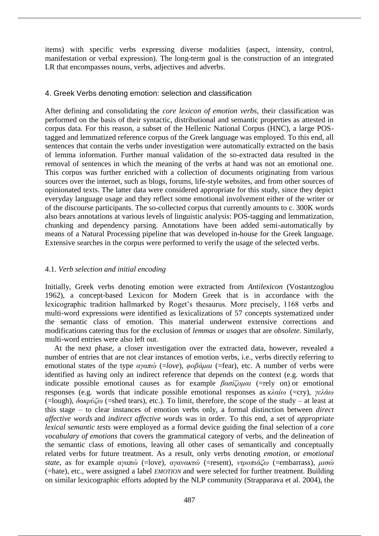items) with specific verbs expressing diverse modalities (aspect, intensity, control, manifestation or verbal expression). The long-term goal is the construction of an integrated LR that encompasses nouns, verbs, adjectives and adverbs.

# 4. Greek Verbs denoting emotion: selection and classification

After defining and consolidating the *core lexicon of emotion verbs*, their classification was performed on the basis of their syntactic, distributional and semantic properties as attested in corpus data. For this reason, a subset of the Hellenic National Corpus (HNC), a large POStagged and lemmatized reference corpus of the Greek language was employed. To this end, all sentences that contain the verbs under investigation were automatically extracted on the basis of lemma information. Further manual validation of the so-extracted data resulted in the removal of sentences in which the meaning of the verbs at hand was not an emotional one. This corpus was further enriched with a collection of documents originating from various sources over the internet, such as blogs, forums, life-style websites, and from other sources of opinionated texts. The latter data were considered appropriate for this study, since they depict everyday language usage and they reflect some emotional involvement either of the writer or of the discourse participants. The so-collected corpus that currently amounts to c. 300K words also bears annotations at various levels of linguistic analysis: POS-tagging and lemmatization, chunking and dependency parsing. Annotations have been added semi-automatically by means of a Natural Processing pipeline that was developed in-house for the Greek language. Extensive searches in the corpus were performed to verify the usage of the selected verbs.

## 4.1. *Verb selection and initial encoding*

Initially, Greek verbs denoting emotion were extracted from *Antilexicon* (Vostantzoglou 1962), a concept-based Lexicon for Modern Greek that is in accordance with the lexicographic tradition hallmarked by Roget's thesaurus. More precisely, 1168 verbs and multi-word expressions were identified as lexicalizations of 57 concepts systematized under the semantic class of emotion. This material underwent extensive corrections and modifications catering thus for the exclusion of *lemmas* or *usages* that are *obsolete*. Similarly, multi-word entries were also left out.

At the next phase, a closer investigation over the extracted data, however, revealed a number of entries that are not clear instances of emotion verbs, i.e., verbs directly referring to emotional states of the type *αγαπώ* (=*love*), *φοβάμαι* (=fear), etc. A number of verbs were identified as having only an indirect reference that depends on the context (e.g. words that indicate possible emotional causes as for example *βασίζομαι* (=rely on) or emotional responses (e.g. words that indicate possible emotional responses as *κλαίω* (=cry), *γελάω*  (=lough), *δακρύζω* (=shed tears), etc.). To limit, therefore, the scope of the study – at least at this stage – to clear instances of emotion verbs only, a formal distinction between *direct affective words* and *indirect affective words* was in order. To this end, a set of *appropriate lexical semantic tests* were employed as a formal device guiding the final selection of a *core vocabulary of emotions* that covers the grammatical category of verbs, and the delineation of the semantic class of emotions, leaving all other cases of semantically and conceptually related verbs for future treatment. As a result, only verbs denoting *emotion,* or *emotional state*, as for example *αγαπώ* (=love), *αγανακτώ* (=resent), *ντροπιάζω* (=embarrass), *μισώ*  (=hate), etc., were assigned a label *EMOTION* and were selected for further treatment. Building on similar lexicographic efforts adopted by the NLP community (Strapparava et al. 2004), the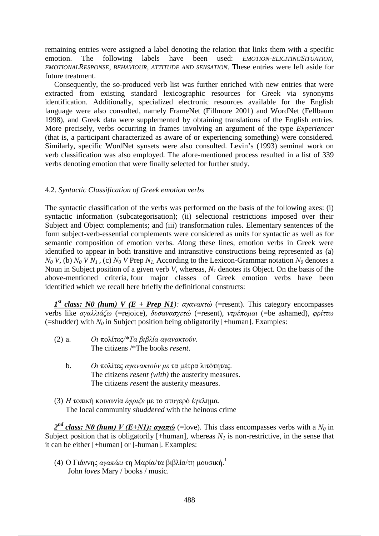remaining entries were assigned a label denoting the relation that links them with a specific emotion. The following labels have been used: *EMOTION-ELICITINGSITUATION, EMOTIONALRESPONSE, BEHAVIOUR, ATTITUDE AND SENSATION*. These entries were left aside for future treatment.

Consequently, the so-produced verb list was further enriched with new entries that were extracted from existing standard lexicographic resources for Greek via synonyms identification. Additionally, specialized electronic resources available for the English language were also consulted, namely FrameNet (Fillmore 2001) and WordNet (Fellbaum 1998), and Greek data were supplemented by obtaining translations of the English entries. More precisely, verbs occurring in frames involving an argument of the type *Experiencer* (that is, a participant characterized as aware of or experiencing something) were considered. Similarly, specific WordNet synsets were also consulted. Levin's (1993) seminal work on verb classification was also employed. The afore-mentioned process resulted in a list of 339 verbs denoting emotion that were finally selected for further study.

#### 4.2. *Syntactic Classification of Greek emotion verbs*

The syntactic classification of the verbs was performed on the basis of the following axes: (i) syntactic information (subcategorisation); (ii) selectional restrictions imposed over their Subject and Object complements; and (iii) transformation rules. Elementary sentences of the form subject-verb-essential complements were considered as units for syntactic as well as for semantic composition of emotion verbs. *A*long these lines, emotion verbs in Greek were identified to appear in both transitive and intransitive constructions being represented as (a) *N*<sub>0</sub> *V*, (b) *N*<sub>0</sub> *V N*<sub>1</sub>, (c) *N*<sub>0</sub> *V* Prep *N*<sub>1</sub>. According to the Lexicon-Grammar notation *N*<sub>0</sub> denotes a Noun in Subject position of a given verb *V*, whereas, *N<sup>1</sup>* denotes its Object. On the basis of the above-mentioned criteria, four major classes of Greek emotion verbs have been identified which we recall here briefly the definitional constructs:

*1 st class: N0 (hum) V (E + Prep N1): αγανακτώ* (=resent). This category encompasses verbs like *αγαλλιάζω* (=rejoice), *δυσανασχετώ* (=resent), *ντρέπομαι* (=be ashamed), *φρίττω*  (=shudder) with *Ν<sup>0</sup>* in Subject position being obligatorily [+human]. Examples:

- (2) a. *Οι* πολίτες*/\*Τα βιβλία αγανακτούν*. The citizens /\*The books *resent*.
	- b. *Οι* πολίτες *αγανακτούν με* τα μέτρα λιτότητας. The citizens *resent (with)* the austerity measures. The citizens *resent* the austerity measures.
- (3) *Η* τοπική κοινωνία *έφριξε* με το στυγερό έγκλημα. The local community *shuddered* with the heinous crime

*2 nd class: Ν0 (hum) V (Ε+N1): αγαπώ* (=love). This class encompasses verbs with a *Ν<sup>0</sup>* in Subject position that is obligatorily [+human], whereas  $N_I$  is non-restrictive, in the sense that it can be either [+human] or [-human]. Examples:

(4) Ο Γιάννης *αγαπάει* τη Μαρία/τα βιβλία/τη μουσική.<sup>1</sup> John *loves* Mary / books / music.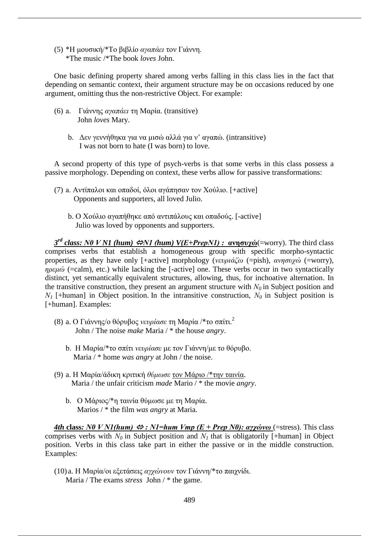(5) \*Η μουσική/\*Το βιβλίο *αγαπάει* τον Γιάννη. \*The music /\*The book *loves* John.

One basic defining property shared among verbs falling in this class lies in the fact that depending on semantic context, their argument structure may be on occasions reduced by one argument, omitting thus the non-restrictive Object. For example:

- (6) a. Γιάννης *αγαπάει* τη Μαρία. (transitive) John *loves* Mary.
	- b. Δεν γεννήθηκα για να μισώ αλλά για ν' αγαπώ. (intransitive) I was not born to hate (I was born) to love.

A second property of this type of psych-verbs is that some verbs in this class possess a passive morphology. Depending on context, these verbs allow for passive transformations:

- (7) a. Αντίπαλοι και οπαδοί, όλοι αγάπησαν τον Χούλιο. [+active] Opponents and supporters, all loved Julio.
	- b. Ο Χούλιο αγαπήθηκε από αντιπάλους και οπαδούς. [-active] Julio was loved by opponents and supporters.

*3<sup>rd</sup> class: N0 V N1 (hum) ⇔N1 (hum) V(E+PrepN1) : ανησυχώ*(=worry). The third class comprises verbs that establish a homogeneous group with specific morpho-syntactic properties, as they have only [+active] morphology (*νευριάζω* (=pish), *ανησυχώ* (=worry), *ηρεμώ* (=calm), etc.) while lacking the [-active] one. These verbs occur in two syntactically distinct, yet semantically equivalent structures, allowing, thus, for inchoative alternation. In the transitive construction, they present an argument structure with *Ν0* in Subject position and *Ν1* [+human] in Object position. In the intransitive construction, *Ν0* in Subject position is [+human]. Examples:

- (8) a. Ο Γιάννης/ο θόρυβος *νευρίασε* τη Μαρία /\*το σπίτι.<sup>2</sup> John / The noise *make* Maria / \* the house *angry*.
	- b. Η Μαρία/\*το σπίτι *νευρίασε* με τον Γιάννη/με το θόρυβο. Maria / \* home *was angry* at John / the noise.
- (9) a. Η Μαρία/άδικη κριτική *θύμωσε* τον Μάριο /\*την ταινία. Maria / the unfair criticism *made* Mario / \* the movie *angry*.
	- b. Ο Μάριος/\*η ταινία θύμωσε με τη Μαρία. Marios / \* the film *was angry* at Maria.

*4th* **class***: Ν0 V N1(hum) : N1=hum Vmp (E + Prep N0): αγχώνω* (=stress). This class comprises verbs with  $N_0$  in Subject position and  $N_1$  that is obligatorily [+human] in Object position. Verbs in this class take part in either the passive or in the middle construction. Examples:

(10) a. Η Μαρία/οι εξετάσεις *αγχώνουν* τον Γιάννη/\*το παιχνίδι. Maria / The exams *stress* John / \* the game.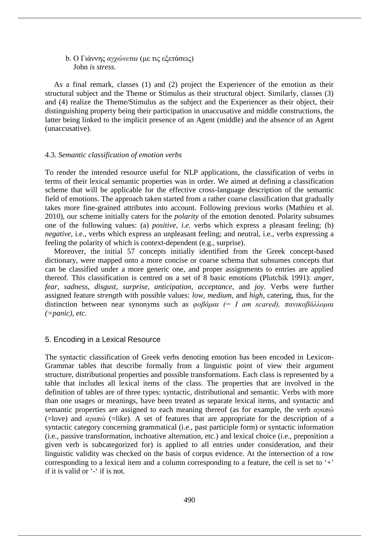b. Ο Γιάννης *αγχώνεται* (με τις εξετάσεις) John *is stress.*

As a final remark, classes (1) and (2) project the Experiencer of the emotion as their structural subject and the Theme or Stimulus as their structural object. Similarly, classes (3) and (4) realize the Theme/Stimulus as the subject and the Experiencer as their object, their distinguishing property being their participation in unaccusative and middle constructions, the latter being linked to the implicit presence of an Agent (middle) and the absence of an Agent (unaccusative).

#### 4.3. *Semantic classification of emotion verbs*

To render the intended resource useful for NLP applications, the classification of verbs in terms of their lexical semantic properties was in order. We aimed at defining a classification scheme that will be applicable for the effective cross-language description of the semantic field of emotions. The approach taken started from a rather coarse classification that gradually takes more fine-grained attributes into account. Following previous works (Mathieu et al. 2010), our scheme initially caters for the *polarity* of the emotion denoted. Polarity subsumes one of the following values: (a) *positive, i.e.* verbs which express a pleasant feeling; (b) *negative*, *i.e.*, verbs which express an unpleasant feeling; and neutral, *i.e.*, verbs expressing a feeling the polarity of which is context-dependent (e.g., surprise).

Moreover, the initial 57 concepts initially identified from the Greek concept-based dictionary, were mapped onto a more concise or coarse schema that subsumes concepts that can be classified under a more generic one, and proper assignments to entries are applied thereof. This classification is centred on a set of 8 basic emotions (Plutchik 1991): *anger*, *fear*, *sadness*, *disgust*, *surprise*, *anticipation*, *acceptance*, and *joy*. Verbs were further assigned feature *strength* with possible values: *low, medium,* and *high,* catering, thus, for the distinction between near synonyms such as *φοβάμαι (= I am scared), πανικοβάλλομαι (=panic), etc.*

#### 5. Encoding in a Lexical Resource

The syntactic classification of Greek verbs denoting emotion has been encoded in Lexicon-Grammar tables that describe formally from a linguistic point of view their argument structure, distributional properties and possible transformations. Each class is represented by a table that includes all lexical items of the class. The properties that are involved in the definition of tables are of three types: syntactic, distributional and semantic. Verbs with more than one usages or meanings, have been treated as separate lexical items, and syntactic and semantic properties are assigned to each meaning thereof (as for example, the verb *αγαπώ*  (=love) and *αγαπώ* (=like). A set of features that are appropriate for the description of a syntactic category concerning grammatical (i.e., past participle form) or syntactic information (i.e., passive transformation, inchoative alternation, etc.) and lexical choice (i.e., preposition a given verb is subcategorized for) is applied to all entries under consideration, and their linguistic validity was checked on the basis of corpus evidence. At the intersection of a row corresponding to a lexical item and a column corresponding to a feature, the cell is set to '+' if it is valid or '-' if is not.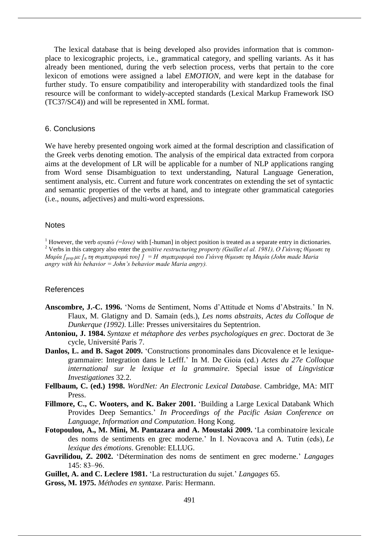The lexical database that is being developed also provides information that is commonplace to lexicographic projects, i.e., grammatical category, and spelling variants. As it has already been mentioned, during the verb selection process, verbs that pertain to the core lexicon of emotions were assigned a label *EMOTION,* and were kept in the database for further study. To ensure compatibility and interoperability with standardized tools the final resource will be conformant to widely-accepted standards (Lexical Markup Framework ISO (TC37/SC4)) and will be represented in XML format.

#### 6. Conclusions

We have hereby presented ongoing work aimed at the formal description and classification of the Greek verbs denoting emotion. The analysis of the empirical data extracted from corpora aims at the development of LR will be applicable for a number of NLP applications ranging from Word sense Disambiguation to text understanding, Natural Language Generation, sentiment analysis, etc. Current and future work concentrates on extending the set of syntactic and semantic properties of the verbs at hand, and to integrate other grammatical categories (i.e., nouns, adjectives) and multi-word expressions.

#### **Notes**

<sup>1</sup> However, the verb *αγαπώ (=love)* with [-human] in object position is treated as a separate entry in dictionaries. <sup>2</sup> Verbs in this category also enter the *genitive restructuring property (Guillet el al. 1981), Ο Γιάννης θύμωσε τη Μαρία [prep με [<sup>n</sup> τη συμπεριφορά του] ] = Η συμπεριφορά του Γιάννη θύμωσε τη Μαρία (John made Maria angry with his behavior = John's behavior made Maria angry).*

#### References

- **Anscombre, J.-C. 1996.** 'Noms de Sentiment, Noms d'Attitude et Noms d'Abstraits.' In N. Flaux, M. Glatigny and D. Samain (eds.), *Les noms abstraits, Actes du Colloque de Dunkerque (1992)*. Lille: Presses universitaires du Septentrion.
- **Antoniou, J. 1984.** *Syntaxe et métaphore des verbes psychologiques en grec*. Doctorat de 3e cycle, Université Paris 7.
- **Danlos, L. and B. Sagot 2009.** 'Constructions pronominales dans Dicovalence et le lexiquegrammaire: Integration dans le Lefff.' In M. De Gioia (ed.) *Actes du 27e Colloque international sur le lexique et la grammaire*. Special issue of *Lingvisticæ Investigationes* 32.2.
- **Fellbaum, C. (ed.) 1998.** *WordNet: An Electronic Lexical Database*. Cambridge, MA: MIT Press.
- **Fillmore, C., C. Wooters, and K. Baker 2001.** 'Building a Large Lexical Databank Which Provides Deep Semantics.' *In Proceedings of the Pacific Asian Conference on Language, Information and Computation*. Hong Kong.
- **Fotopoulou, A., M. Mini, M. Pantazara and A. Moustaki 2009.** 'La combinatoire lexicale des noms de sentiments en grec moderne.' In I. Novacova and A. Tutin (eds), *Le lexique des émotions*. Grenoble: ELLUG.
- **Gavrilidou, Z. 2002.** 'Détermination des noms de sentiment en grec moderne.' *Langages*  $145: 83 - 96.$
- **Guillet, A. and C. Leclere 1981.** 'La restructuration du sujet.' *Langages* 65.
- **Gross, Μ. 1975.** *Méthodes en syntaxe*. Paris: Hermann.